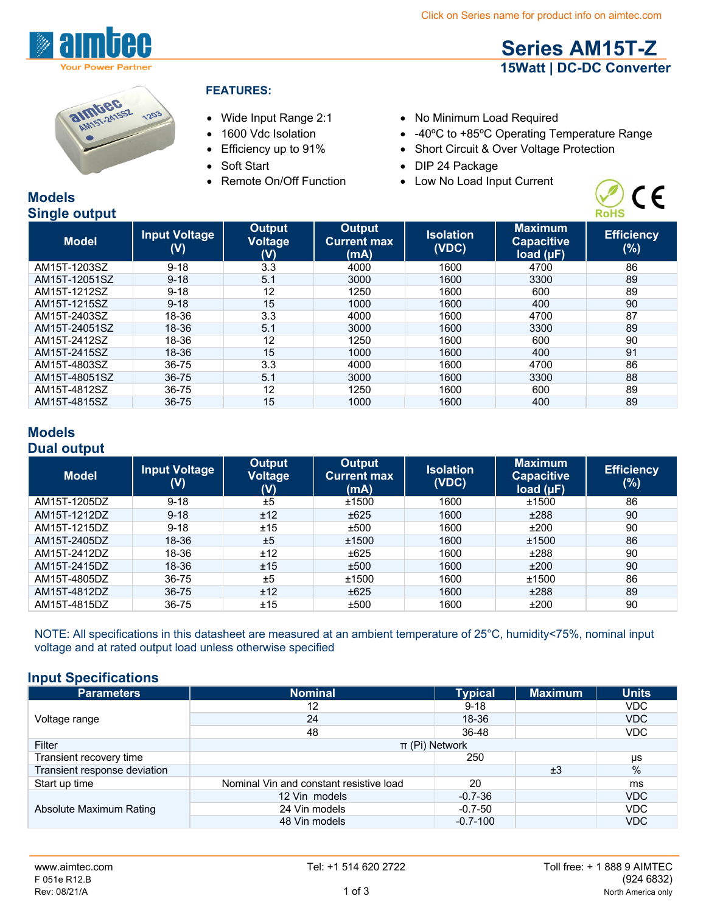**Series AM15T-Z 15Watt | DC-DC Converter**



# 241551 1203

## **FEATURES:**

- 
- 
- 
- 
- 
- Wide Input Range 2:1 No Minimum Load Required
- 1600 Vdc Isolation -40°C to +85°C Operating Temperature Range
- Efficiency up to 91% Short Circuit & Over Voltage Protection
- Soft Start DIP 24 Package
- Remote On/Off Function Low No Load Input Current



#### **Models Single output**

| $-$           |                                        |                                 |                                      |                           |                                                  |                          |
|---------------|----------------------------------------|---------------------------------|--------------------------------------|---------------------------|--------------------------------------------------|--------------------------|
| <b>Model</b>  | <b>Input Voltage</b><br>$(\mathsf{V})$ | Output<br><b>Voltage</b><br>(V) | Output<br><b>Current max</b><br>(mA) | <b>Isolation</b><br>(VDC) | <b>Maximum</b><br><b>Capacitive</b><br>load (µF) | <b>Efficiency</b><br>(%) |
| AM15T-1203SZ  | $9 - 18$                               | 3.3                             | 4000                                 | 1600                      | 4700                                             | 86                       |
| AM15T-12051SZ | $9 - 18$                               | 5.1                             | 3000                                 | 1600                      | 3300                                             | 89                       |
| AM15T-1212SZ  | $9 - 18$                               | 12                              | 1250                                 | 1600                      | 600                                              | 89                       |
| AM15T-1215SZ  | $9 - 18$                               | 15                              | 1000                                 | 1600                      | 400                                              | 90                       |
| AM15T-2403SZ  | 18-36                                  | 3.3                             | 4000                                 | 1600                      | 4700                                             | 87                       |
| AM15T-24051SZ | 18-36                                  | 5.1                             | 3000                                 | 1600                      | 3300                                             | 89                       |
| AM15T-2412SZ  | 18-36                                  | 12                              | 1250                                 | 1600                      | 600                                              | 90                       |
| AM15T-2415SZ  | 18-36                                  | 15                              | 1000                                 | 1600                      | 400                                              | 91                       |
| AM15T-4803SZ  | 36-75                                  | 3.3                             | 4000                                 | 1600                      | 4700                                             | 86                       |
| AM15T-48051SZ | $36 - 75$                              | 5.1                             | 3000                                 | 1600                      | 3300                                             | 88                       |
| AM15T-4812SZ  | 36-75                                  | 12                              | 1250                                 | 1600                      | 600                                              | 89                       |
| AM15T-4815SZ  | 36-75                                  | 15                              | 1000                                 | 1600                      | 400                                              | 89                       |

# **Models Dual output**

| <b>Model</b> | <b>Input Voltage</b><br>$(\mathsf{V})$ | Output<br><b>Voltage</b><br>(V) | <b>Output</b><br><b>Current max</b><br>(mA) | <b>Isolation</b><br>(VDC) | <b>Maximum</b><br><b>Capacitive</b><br>load $(\mu F)$ | <b>Efficiency</b><br>(%) |
|--------------|----------------------------------------|---------------------------------|---------------------------------------------|---------------------------|-------------------------------------------------------|--------------------------|
| AM15T-1205DZ | $9 - 18$                               | ±5                              | ±1500                                       | 1600                      | ±1500                                                 | 86                       |
| AM15T-1212DZ | $9 - 18$                               | ±12                             | ±625                                        | 1600                      | ±288                                                  | 90                       |
| AM15T-1215DZ | $9 - 18$                               | ±15                             | ±500                                        | 1600                      | ±200                                                  | 90                       |
| AM15T-2405DZ | 18-36                                  | ±5                              | ±1500                                       | 1600                      | ±1500                                                 | 86                       |
| AM15T-2412DZ | 18-36                                  | ±12                             | ±625                                        | 1600                      | ±288                                                  | 90                       |
| AM15T-2415DZ | 18-36                                  | ±15                             | ±500                                        | 1600                      | ±200                                                  | 90                       |
| AM15T-4805DZ | 36-75                                  | ±5                              | ±1500                                       | 1600                      | ±1500                                                 | 86                       |
| AM15T-4812DZ | $36 - 75$                              | ±12                             | ±625                                        | 1600                      | ±288                                                  | 89                       |
| AM15T-4815DZ | 36-75                                  | ±15                             | ±500                                        | 1600                      | ±200                                                  | 90                       |

NOTE: All specifications in this datasheet are measured at an ambient temperature of 25°C, humidity<75%, nominal input voltage and at rated output load unless otherwise specified

# **Input Specifications**

| <b>Parameters</b>            | <b>Nominal</b>                          | <b>Typical</b> | <b>Maximum</b> | <b>Units</b> |
|------------------------------|-----------------------------------------|----------------|----------------|--------------|
|                              | 12                                      | $9 - 18$       |                | VDC.         |
| Voltage range                | 24                                      | 18-36          |                | <b>VDC</b>   |
|                              | 48                                      | 36-48          |                | VDC          |
| Filter                       | $\pi$ (Pi) Network                      |                |                |              |
| Transient recovery time      |                                         | 250            |                | μs           |
| Transient response deviation |                                         |                | ±3             | %            |
| Start up time                | Nominal Vin and constant resistive load | 20             |                | ms           |
|                              | 12 Vin models                           | $-0.7 - 36$    |                | <b>VDC</b>   |
| Absolute Maximum Rating      | 24 Vin models                           | $-0.7 - 50$    |                | <b>VDC</b>   |
|                              | 48 Vin models                           | $-0.7 - 100$   |                | <b>VDC</b>   |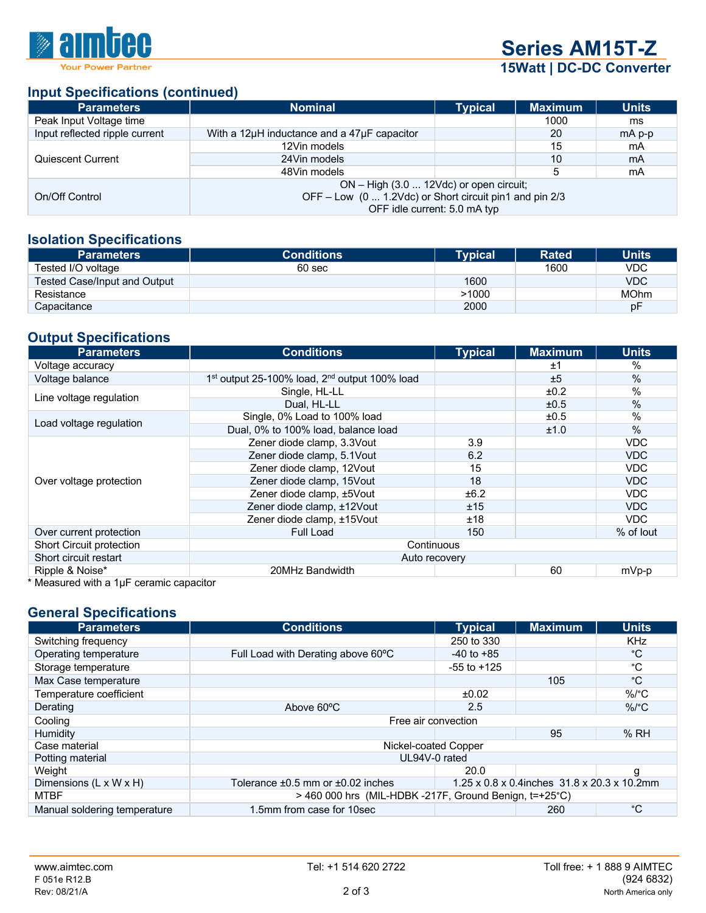

**Series AM15T-Z 15Watt | DC-DC Converter**

## **Input Specifications (continued)**

| <b>Parameters</b>              | <b>Nominal</b>                                          | <b>Typical</b> | <b>Maximum</b> | <b>Units</b> |  |
|--------------------------------|---------------------------------------------------------|----------------|----------------|--------------|--|
| Peak Input Voltage time        |                                                         |                | 1000           | ms           |  |
| Input reflected ripple current | With a 12 $\mu$ H inductance and a 47 $\mu$ F capacitor |                | 20             | $mA$ p-p     |  |
|                                | 12Vin models                                            |                | 15             | mA           |  |
| Quiescent Current              | 24Vin models                                            |                | 10             | mA           |  |
|                                | 48Vin models                                            |                | 5              | mA           |  |
|                                | ON – High (3.0  12Vdc) or open circuit;                 |                |                |              |  |
| On/Off Control                 | OFF - Low (0  1.2Vdc) or Short circuit pin1 and pin 2/3 |                |                |              |  |
|                                | OFF idle current: 5.0 mA typ                            |                |                |              |  |

#### **Isolation Specifications**

| <b>Parameters</b>            | <b>Conditions</b> | Tvpical | <b>Rated</b> | <b>Units</b> |
|------------------------------|-------------------|---------|--------------|--------------|
| Tested I/O voltage           | 60 sec            |         | 1600         | <b>VDC</b>   |
| Tested Case/Input and Output |                   | 1600    |              | <b>VDC</b>   |
| Resistance                   |                   | >1000   |              | <b>MOhm</b>  |
| Capacitance                  |                   | 2000    |              | рF           |

# **Output Specifications**

| <b>Parameters</b>                              | <b>Conditions</b>                                                     | <b>Typical</b> | <b>Maximum</b> | <b>Units</b>  |
|------------------------------------------------|-----------------------------------------------------------------------|----------------|----------------|---------------|
| Voltage accuracy                               |                                                                       |                | ±1             | $\%$          |
| Voltage balance                                | 1 <sup>st</sup> output 25-100% load, 2 <sup>nd</sup> output 100% load |                | ±5             | $\%$          |
| Line voltage regulation                        | Single, HL-LL                                                         |                | ±0.2           | $\%$          |
|                                                | Dual, HL-LL                                                           |                | ±0.5           | $\%$          |
|                                                | Single, 0% Load to 100% load                                          |                | ±0.5           | $\%$          |
| Load voltage regulation                        | Dual, 0% to 100% load, balance load                                   |                | ±1.0           | $\frac{0}{0}$ |
|                                                | Zener diode clamp, 3.3Vout                                            | 3.9            |                | VDC           |
|                                                | Zener diode clamp, 5.1Vout                                            | 6.2            |                | <b>VDC</b>    |
|                                                | Zener diode clamp, 12Vout                                             | 15             |                | VDC.          |
| Over voltage protection                        | Zener diode clamp, 15Vout                                             | 18             |                | <b>VDC</b>    |
|                                                | Zener diode clamp, ±5Vout                                             | ±6.2           |                | VDC           |
|                                                | Zener diode clamp, ±12Vout                                            | ±15            |                | <b>VDC</b>    |
|                                                | Zener diode clamp, ±15Vout                                            | ±18            |                | VDC.          |
| Over current protection                        | <b>Full Load</b>                                                      | 150            |                | % of lout     |
| <b>Short Circuit protection</b>                | Continuous                                                            |                |                |               |
| Short circuit restart<br>Auto recovery         |                                                                       |                |                |               |
| Ripple & Noise*                                | 20MHz Bandwidth                                                       |                | 60             | mVp-p         |
| $*$ Monsured with a $1\mu$ E coramic capacitor |                                                                       |                |                |               |

Measured with a  $1\mu$ F ceramic capacitor

#### **General Specifications**

| <b>Parameters</b>                  | <b>Conditions</b>                                       | <b>Typical</b>  | <b>Maximum</b>                              | <b>Units</b> |  |
|------------------------------------|---------------------------------------------------------|-----------------|---------------------------------------------|--------------|--|
| Switching frequency                |                                                         | 250 to 330      |                                             | <b>KHz</b>   |  |
| Operating temperature              | Full Load with Derating above 60°C                      | $-40$ to $+85$  |                                             | °С           |  |
| Storage temperature                |                                                         | $-55$ to $+125$ |                                             | °С           |  |
| Max Case temperature               |                                                         |                 | 105                                         | $^{\circ}C$  |  |
| Temperature coefficient            |                                                         | ±0.02           |                                             | $\%$ /°C     |  |
| Derating                           | Above 60°C                                              | 2.5             |                                             | $\%$ /°C     |  |
| Cooling                            | Free air convection                                     |                 |                                             |              |  |
| Humidity                           |                                                         |                 | 95                                          | %RH          |  |
| Case material                      | Nickel-coated Copper                                    |                 |                                             |              |  |
| Potting material                   | UL94V-0 rated                                           |                 |                                             |              |  |
| Weight                             |                                                         | 20.0            |                                             | g            |  |
| Dimensions $(L \times W \times H)$ | Tolerance $\pm 0.5$ mm or $\pm 0.02$ inches             |                 | 1.25 x 0.8 x 0.4inches 31.8 x 20.3 x 10.2mm |              |  |
| <b>MTBF</b>                        | $>$ 460 000 hrs (MIL-HDBK-217F, Ground Benign, t=+25°C) |                 |                                             |              |  |
| Manual soldering temperature       | 1.5mm from case for 10sec                               |                 | 260                                         | °C           |  |